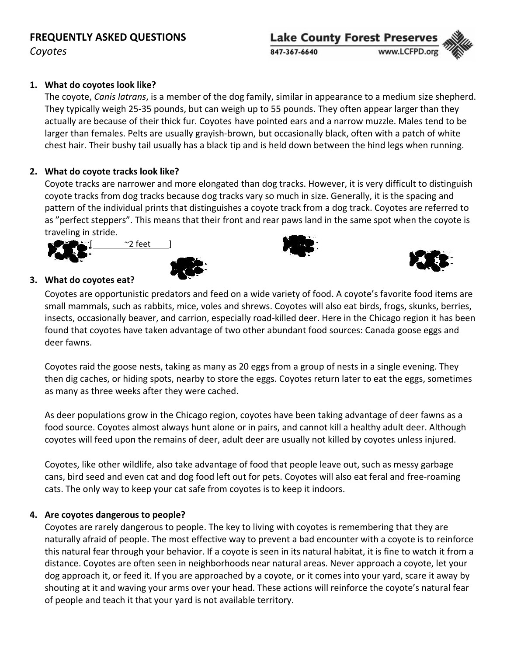## **FREQUENTLY ASKED QUESTIONS**

*Coyotes*

# **Lake County Forest Preserves** 847-367-6640

## **1. What do coyotes look like?**

The coyote, *Canis latrans*, is a member of the dog family, similar in appearance to a medium size shepherd. They typically weigh 25‐35 pounds, but can weigh up to 55 pounds. They often appear larger than they actually are because of their thick fur. Coyotes have pointed ears and a narrow muzzle. Males tend to be larger than females. Pelts are usually grayish-brown, but occasionally black, often with a patch of white chest hair. Their bushy tail usually has a black tip and is held down between the hind legs when running.

## **2. What do coyote tracks look like?**

Coyote tracks are narrower and more elongated than dog tracks. However, it is very difficult to distinguish coyote tracks from dog tracks because dog tracks vary so much in size. Generally, it is the spacing and pattern of the individual prints that distinguishes a coyote track from a dog track. Coyotes are referred to as "perfect steppers". This means that their front and rear paws land in the same spot when the coyote is traveling in stride.







## **3. What do coyotes eat?**

Coyotes are opportunistic predators and feed on a wide variety of food. A coyote's favorite food items are small mammals, such as rabbits, mice, voles and shrews. Coyotes will also eat birds, frogs, skunks, berries, insects, occasionally beaver, and carrion, especially road‐killed deer. Here in the Chicago region it has been found that coyotes have taken advantage of two other abundant food sources: Canada goose eggs and deer fawns.

Coyotes raid the goose nests, taking as many as 20 eggs from a group of nests in a single evening. They then dig caches, or hiding spots, nearby to store the eggs. Coyotes return later to eat the eggs, sometimes as many as three weeks after they were cached.

As deer populations grow in the Chicago region, coyotes have been taking advantage of deer fawns as a food source. Coyotes almost always hunt alone or in pairs, and cannot kill a healthy adult deer. Although coyotes will feed upon the remains of deer, adult deer are usually not killed by coyotes unless injured.

Coyotes, like other wildlife, also take advantage of food that people leave out, such as messy garbage cans, bird seed and even cat and dog food left out for pets. Coyotes will also eat feral and free‐roaming cats. The only way to keep your cat safe from coyotes is to keep it indoors.

#### **4. Are coyotes dangerous to people?**

Coyotes are rarely dangerous to people. The key to living with coyotes is remembering that they are naturally afraid of people. The most effective way to prevent a bad encounter with a coyote is to reinforce this natural fear through your behavior. If a coyote is seen in its natural habitat, it is fine to watch it from a distance. Coyotes are often seen in neighborhoods near natural areas. Never approach a coyote, let your dog approach it, or feed it. If you are approached by a coyote, or it comes into your yard, scare it away by shouting at it and waving your arms over your head. These actions will reinforce the coyote's natural fear of people and teach it that your yard is not available territory.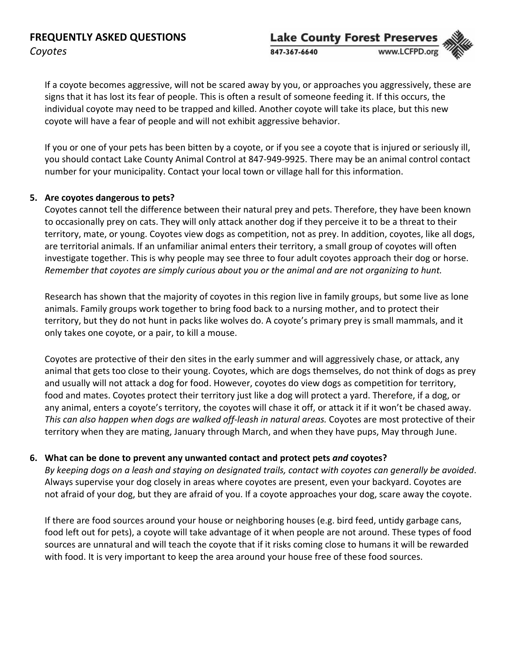

If a coyote becomes aggressive, will not be scared away by you, or approaches you aggressively, these are signs that it has lost its fear of people. This is often a result of someone feeding it. If this occurs, the individual coyote may need to be trapped and killed. Another coyote will take its place, but this new coyote will have a fear of people and will not exhibit aggressive behavior.

If you or one of your pets has been bitten by a coyote, or if you see a coyote that is injured or seriously ill, you should contact Lake County Animal Control at 847‐949‐9925. There may be an animal control contact number for your municipality. Contact your local town or village hall for this information.

#### **5. Are coyotes dangerous to pets?**

Coyotes cannot tell the difference between their natural prey and pets. Therefore, they have been known to occasionally prey on cats. They will only attack another dog if they perceive it to be a threat to their territory, mate, or young. Coyotes view dogs as competition, not as prey. In addition, coyotes, like all dogs, are territorial animals. If an unfamiliar animal enters their territory, a small group of coyotes will often investigate together. This is why people may see three to four adult coyotes approach their dog or horse. Remember that coyotes are simply curious about you or the animal and are not organizing to hunt.

Research has shown that the majority of coyotes in this region live in family groups, but some live as lone animals. Family groups work together to bring food back to a nursing mother, and to protect their territory, but they do not hunt in packs like wolves do. A coyote's primary prey is small mammals, and it only takes one coyote, or a pair, to kill a mouse.

Coyotes are protective of their den sites in the early summer and will aggressively chase, or attack, any animal that gets too close to their young. Coyotes, which are dogs themselves, do not think of dogs as prey and usually will not attack a dog for food. However, coyotes do view dogs as competition for territory, food and mates. Coyotes protect their territory just like a dog will protect a yard. Therefore, if a dog, or any animal, enters a coyote's territory, the coyotes will chase it off, or attack it if it won't be chased away. *This can also happen when dogs are walked off‐leash in natural areas.* Coyotes are most protective of their territory when they are mating, January through March, and when they have pups, May through June.

#### **6. What can be done to prevent any unwanted contact and protect pets** *and* **coyotes?**

By keeping dogs on a leash and staying on designated trails, contact with coyotes can generally be avoided. Always supervise your dog closely in areas where coyotes are present, even your backyard. Coyotes are not afraid of your dog, but they are afraid of you. If a coyote approaches your dog, scare away the coyote.

If there are food sources around your house or neighboring houses (e.g. bird feed, untidy garbage cans, food left out for pets), a coyote will take advantage of it when people are not around. These types of food sources are unnatural and will teach the coyote that if it risks coming close to humans it will be rewarded with food. It is very important to keep the area around your house free of these food sources.